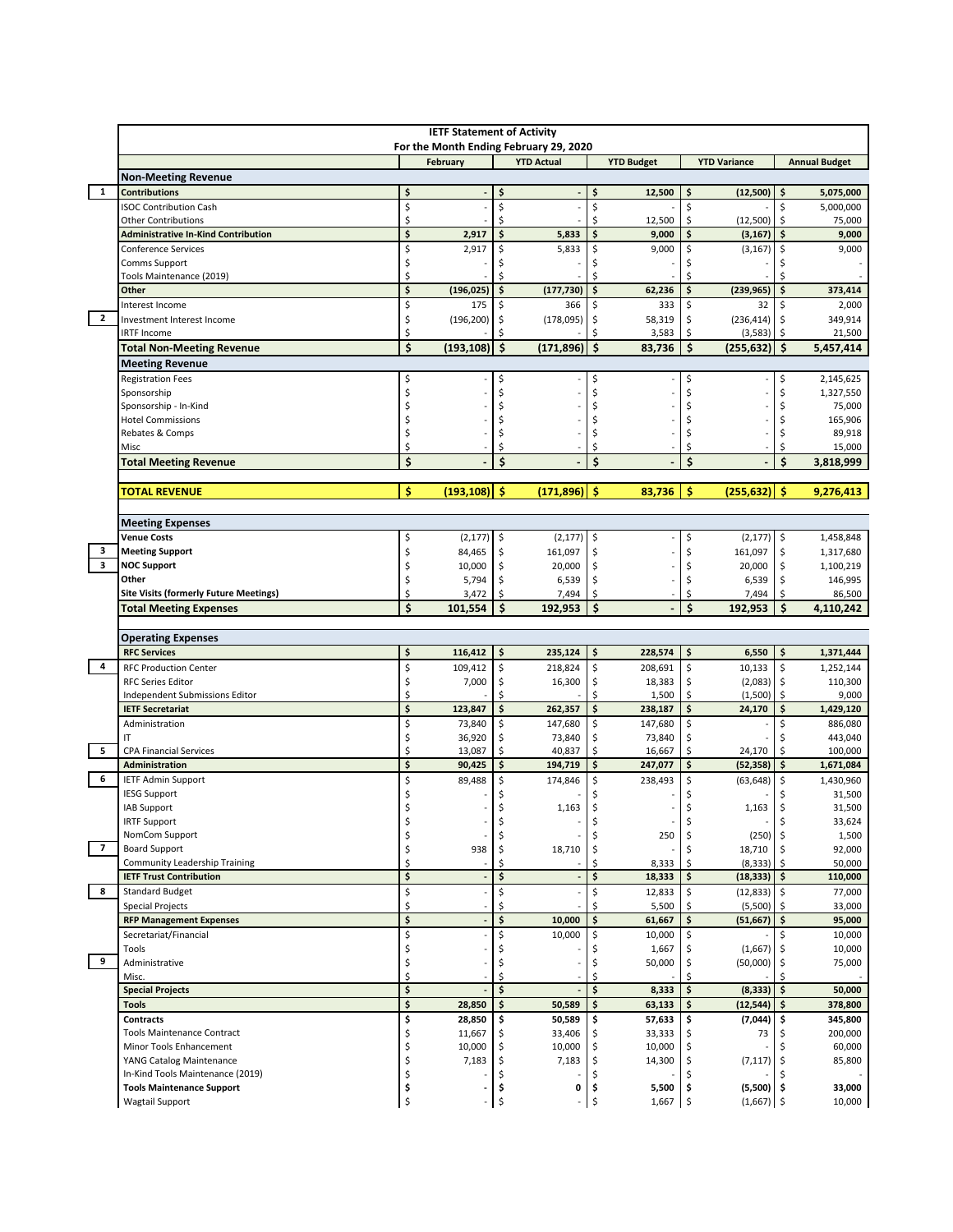|                          | <b>IETF Statement of Activity</b><br>For the Month Ending February 29, 2020 |                                           |                    |          |                     |                    |                   |          |                        |               |                        |
|--------------------------|-----------------------------------------------------------------------------|-------------------------------------------|--------------------|----------|---------------------|--------------------|-------------------|----------|------------------------|---------------|------------------------|
|                          |                                                                             |                                           | February           |          | <b>YTD Actual</b>   |                    | <b>YTD Budget</b> |          | <b>YTD Variance</b>    |               | <b>Annual Budget</b>   |
|                          | <b>Non-Meeting Revenue</b>                                                  |                                           |                    |          |                     |                    |                   |          |                        |               |                        |
| $\mathbf{1}$             | <b>Contributions</b>                                                        | \$                                        |                    | \$       |                     | \$                 | 12,500            | \$       | (12,500)               | \$            | 5,075,000              |
|                          | <b>ISOC Contribution Cash</b><br><b>Other Contributions</b>                 | \$<br>\$                                  |                    | \$<br>Ś  |                     | \$<br>\$           | 12,500            | Ś<br>Ś   | (12,500)               | \$<br>\$.     | 5,000,000<br>75,000    |
|                          | <b>Administrative In-Kind Contribution</b>                                  | $\overline{\boldsymbol{\varsigma}}$       | 2,917              | \$       | 5,833               | \$                 | 9,000             | \$       | (3, 167)               | \$            | 9,000                  |
|                          | <b>Conference Services</b>                                                  | \$                                        | 2,917              | \$       | 5,833               | \$                 | 9,000             | \$       | (3, 167)               | \$            | 9,000                  |
|                          | Comms Support                                                               | \$                                        |                    |          |                     | Ś                  |                   | Ś        |                        |               |                        |
|                          | Tools Maintenance (2019)                                                    | \$                                        |                    | \$       |                     | \$                 |                   | Ś        |                        | Ś             |                        |
|                          | Other<br>Interest Income                                                    | $\overline{\boldsymbol{\varsigma}}$<br>\$ | (196, 025)<br>175  | \$<br>\$ | (177, 730)<br>366   | \$<br>\$           | 62,236<br>333     | \$<br>\$ | (239, 965)<br>32       | \$<br>\$      | 373,414                |
| $\mathbf{2}$             | Investment Interest Income                                                  | \$                                        | (196, 200)         | \$       | (178,095)           | \$                 | 58,319            | Ś        | (236, 414)             | $\frac{1}{2}$ | 2,000<br>349,914       |
|                          | <b>IRTF Income</b>                                                          | \$                                        |                    | Ś        |                     | Ś                  | 3,583             | \$       | (3, 583)               | \$            | 21,500                 |
|                          | <b>Total Non-Meeting Revenue</b>                                            | $\mathsf{\hat{S}}$                        | (193, 108)         | \$       | (171, 896)          | $\dot{\mathsf{s}}$ | 83,736            | \$       | $(255, 632)$ \$        |               | 5,457,414              |
|                          | <b>Meeting Revenue</b>                                                      |                                           |                    |          |                     |                    |                   |          |                        |               |                        |
|                          | <b>Registration Fees</b>                                                    | \$                                        |                    | \$       |                     | \$                 |                   | \$       |                        | \$            | 2,145,625              |
|                          | Sponsorship                                                                 | \$                                        |                    | \$       |                     | \$                 |                   | Ś        |                        | \$            | 1,327,550              |
|                          | Sponsorship - In-Kind<br><b>Hotel Commissions</b>                           | Ś<br>Ś                                    |                    | S<br>Ś   |                     | Ś<br>Ś             |                   | Ś<br>Ś   |                        | \$<br>\$      | 75,000<br>165,906      |
|                          | Rebates & Comps                                                             | \$                                        |                    | Ś        |                     | Ś                  |                   | Ś        |                        | \$            | 89,918                 |
|                          | Misc                                                                        | \$                                        |                    | Ś        |                     | \$                 |                   | Ś        |                        | \$            | 15,000                 |
|                          | <b>Total Meeting Revenue</b>                                                | \$                                        |                    | \$       |                     | \$                 |                   | \$       |                        | \$            | 3,818,999              |
|                          | <b>TOTAL REVENUE</b>                                                        | \$                                        | $(193, 108)$ \$    |          | (171, 896)          | -\$                | 83.736            | \$       | (255, 632)             | -\$           | 9,276,413              |
|                          |                                                                             |                                           |                    |          |                     |                    |                   |          |                        |               |                        |
|                          | <b>Meeting Expenses</b>                                                     |                                           |                    |          |                     |                    |                   |          |                        |               |                        |
| з                        | <b>Venue Costs</b><br><b>Meeting Support</b>                                | \$<br>\$                                  | (2, 177)<br>84,465 | \$<br>\$ | (2, 177)<br>161,097 | $\zeta$<br>\$      |                   | Ś<br>Ś   | (2, 177)<br>161,097    | \$<br>\$      | 1,458,848<br>1,317,680 |
| 3                        | <b>NOC Support</b>                                                          | \$                                        | 10,000             | \$       | 20,000              | \$                 |                   | Ś        | 20,000                 | \$            | 1,100,219              |
|                          | Other                                                                       | \$                                        | 5,794              | \$       | 6,539               | \$                 |                   | Ś        | 6,539                  | \$            | 146,995                |
|                          | <b>Site Visits (formerly Future Meetings)</b>                               | \$                                        | 3,472              | \$       | 7,494               | \$                 |                   | Ś        | 7,494                  | \$            | 86,500                 |
|                          | <b>Total Meeting Expenses</b>                                               | \$                                        | 101,554            | \$       | 192,953             | \$                 |                   | \$       | 192,953                | Ś             | 4,110,242              |
|                          |                                                                             |                                           |                    |          |                     |                    |                   |          |                        |               |                        |
|                          | <b>Operating Expenses</b><br><b>RFC Services</b>                            | \$                                        | 116,412            | \$       | 235,124             | \$                 | 228,574           | \$       | 6,550                  | \$            | 1,371,444              |
| $\overline{4}$           | <b>RFC Production Center</b>                                                | \$                                        | 109,412            | \$       | 218,824             | \$                 | 208,691           | \$       | 10,133                 | \$            | 1,252,144              |
|                          | <b>RFC Series Editor</b>                                                    | \$                                        | 7,000              | \$       | 16,300              | \$                 | 18,383            | \$       | $(2,083)$ \$           |               | 110,300                |
|                          | Independent Submissions Editor                                              | \$                                        |                    | Ś        |                     | \$                 | 1,500             | \$       | (1,500)                | Ŝ.            | 9,000                  |
|                          | <b>IETF Secretariat</b>                                                     | \$                                        | 123,847            | \$       | 262,357             | \$                 | 238,187           | \$       | 24,170                 | \$            | 1,429,120              |
|                          | Administration                                                              | \$                                        | 73,840             | \$       | 147,680             | \$                 | 147,680           | \$       |                        | \$            | 886,080                |
| 5                        | ΙT<br><b>CPA Financial Services</b>                                         | \$<br>\$                                  | 36,920<br>13,087   | \$<br>Ś  | 73,840<br>40,837    | \$<br>\$           | 73,840<br>16,667  | Ś<br>\$  | 24,170                 | Ś<br>\$       | 443,040<br>100,000     |
|                          | Administration                                                              | \$                                        | 90,425             | \$       | 194,719             | \$                 | 247,077           | \$       | (52, 358)              | \$            | 1,671,084              |
| 6                        | <b>IETF Admin Support</b>                                                   | \$                                        | 89,488             | \$       | 174,846             | \$                 | 238,493           | \$       | (63, 648)              | \$.           | 1,430,960              |
|                          | <b>IESG Support</b>                                                         | \$                                        |                    | Ś        |                     |                    |                   | \$       |                        |               | 31,500                 |
|                          | IAB Support                                                                 | \$                                        |                    | Ś        | 1,163               | \$                 |                   | Ś        | 1,163                  | \$            | 31,500                 |
|                          | <b>IRTF Support</b>                                                         |                                           |                    |          |                     | Ş                  |                   |          |                        |               | 33,624                 |
| $\overline{\phantom{a}}$ | NomCom Support                                                              | \$                                        |                    | \$       |                     | \$                 | 250               | S        | $(250)$ \$             |               | 1,500                  |
|                          | <b>Board Support</b><br>Community Leadership Training                       | \$<br>Ś                                   | 938                | \$.<br>Ś | 18,710              | \$<br>\$           | 8,333             | \$       | 18,710<br>$(8,333)$ \$ |               | 92,000<br>50,000       |
|                          | <b>IETF Trust Contribution</b>                                              | \$                                        |                    | \$       |                     | \$                 | 18,333            | \$       | $(18, 333)$ \$         |               | 110,000                |
| 8                        | <b>Standard Budget</b>                                                      | \$                                        |                    | \$       |                     | \$                 | 12,833            | \$       | (12, 833)              | Ŝ.            | 77,000                 |
|                          | <b>Special Projects</b>                                                     | \$                                        |                    | Ś        |                     | \$                 | 5,500             | Ś        | (5,500)                | -\$           | 33,000                 |
|                          | <b>RFP Management Expenses</b>                                              | \$                                        |                    | \$       | 10,000              | \$                 | 61,667            | \$       | (51,667)               | \$            | 95,000                 |
|                          | Secretariat/Financial                                                       | \$                                        |                    | \$       | 10,000              | \$                 | 10,000            | \$       |                        | Ś.            | 10,000                 |
|                          | Tools                                                                       | \$                                        |                    | Ś        |                     | Ś                  | 1,667             | Ś        | (1,667)                |               | 10,000                 |
| 9                        | Administrative<br>Misc.                                                     | \$<br>\$                                  |                    | Ś        |                     | \$<br>Ś            | 50,000            | \$<br>Ś  | (50,000)               | \$.           | 75,000                 |
|                          | <b>Special Projects</b>                                                     | $\overline{\boldsymbol{\varsigma}}$       |                    | \$       |                     | \$                 | 8,333             | \$       | (8, 333)               | \$            | 50,000                 |
|                          | <b>Tools</b>                                                                | \$                                        | 28,850             | \$       | 50,589              | \$                 | 63,133            | \$       | (12, 544)              | \$            | 378,800                |
|                          | <b>Contracts</b>                                                            | \$                                        | 28,850             | \$       | 50,589              | \$                 | 57,633            | \$       | (7,044)                | \$            | 345,800                |
|                          | <b>Tools Maintenance Contract</b>                                           | \$                                        | 11,667             | \$       | 33,406              |                    | 33,333            |          | 73                     |               | 200,000                |
|                          | Minor Tools Enhancement                                                     | \$                                        | 10,000             | \$       | 10,000              | \$                 | 10,000            | Ś        |                        |               | 60,000                 |
|                          | YANG Catalog Maintenance<br>In-Kind Tools Maintenance (2019)                | \$<br>\$                                  | 7,183              | \$       | 7,183               | \$<br>Ś            | 14,300            | \$<br>Ś  | (7, 117)               | -\$           | 85,800                 |
|                          | <b>Tools Maintenance Support</b>                                            | \$                                        |                    | \$       | 0                   | \$                 | 5,500             | \$       | $(5,500)$ \$           |               | 33,000                 |
|                          | <b>Wagtail Support</b>                                                      | \$                                        |                    | Ś        |                     | $\mathsf{\hat{S}}$ | 1,667             | \$       | $(1,667)$ \$           |               | 10,000                 |